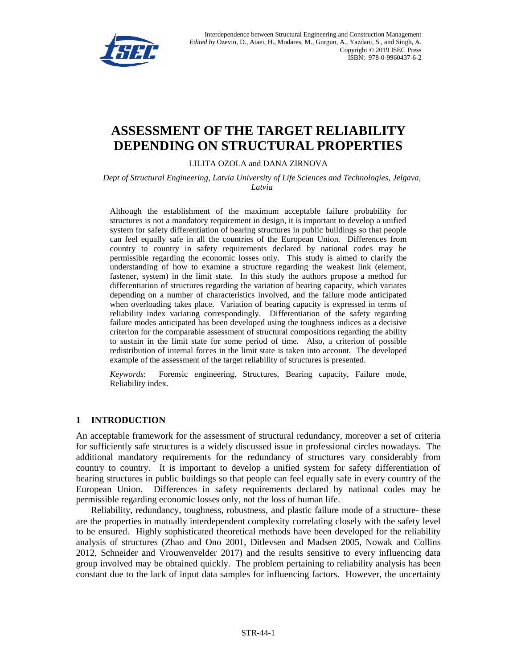

# **ASSESSMENT OF THE TARGET RELIABILITY DEPENDING ON STRUCTURAL PROPERTIES**

LILITA OZOLA and DANA ZIRNOVA

*Dept of Structural Engineering, Latvia University of Life Sciences and Technologies, Jelgava, Latvia*

Although the establishment of the maximum acceptable failure probability for structures is not a mandatory requirement in design, it is important to develop a unified system for safety differentiation of bearing structures in public buildings so that people can feel equally safe in all the countries of the European Union. Differences from country to country in safety requirements declared by national codes may be permissible regarding the economic losses only. This study is aimed to clarify the understanding of how to examine a structure regarding the weakest link (element, fastener, system) in the limit state. In this study the authors propose a method for differentiation of structures regarding the variation of bearing capacity, which variates depending on a number of characteristics involved, and the failure mode anticipated when overloading takes place. Variation of bearing capacity is expressed in terms of reliability index variating correspondingly. Differentiation of the safety regarding failure modes anticipated has been developed using the toughness indices as a decisive criterion for the comparable assessment of structural compositions regarding the ability to sustain in the limit state for some period of time. Also, a criterion of possible redistribution of internal forces in the limit state is taken into account. The developed example of the assessment of the target reliability of structures is presented.

*Keywords*: Forensic engineering, Structures, Bearing capacity, Failure mode, Reliability index.

## **1 INTRODUCTION**

An acceptable framework for the assessment of structural redundancy, moreover a set of criteria for sufficiently safe structures is a widely discussed issue in professional circles nowadays. The additional mandatory requirements for the redundancy of structures vary considerably from country to country. It is important to develop a unified system for safety differentiation of bearing structures in public buildings so that people can feel equally safe in every country of the European Union. Differences in safety requirements declared by national codes may be permissible regarding economic losses only, not the loss of human life.

Reliability, redundancy, toughness, robustness, and plastic failure mode of a structure- these are the properties in mutually interdependent complexity correlating closely with the safety level to be ensured. Highly sophisticated theoretical methods have been developed for the reliability analysis of structures (Zhao and Ono 2001, Ditlevsen and Madsen 2005, Nowak and Collins 2012, Schneider and Vrouwenvelder 2017) and the results sensitive to every influencing data group involved may be obtained quickly. The problem pertaining to reliability analysis has been constant due to the lack of input data samples for influencing factors. However, the uncertainty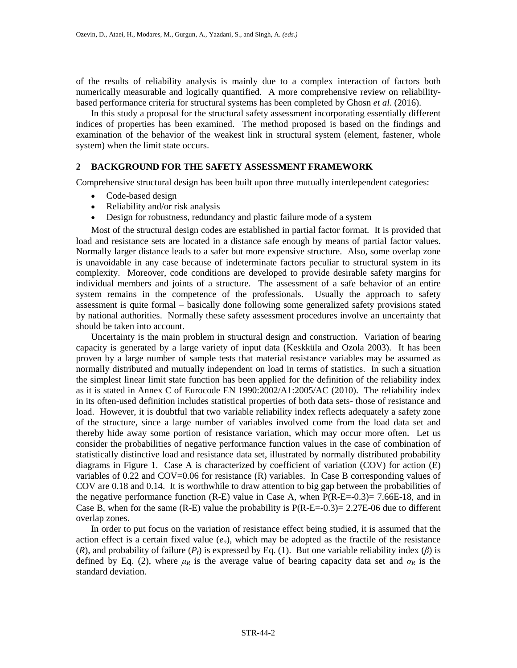of the results of reliability analysis is mainly due to a complex interaction of factors both numerically measurable and logically quantified. A more comprehensive review on reliabilitybased performance criteria for structural systems has been completed by Ghosn *et al*. (2016).

In this study a proposal for the structural safety assessment incorporating essentially different indices of properties has been examined. The method proposed is based on the findings and examination of the behavior of the weakest link in structural system (element, fastener, whole system) when the limit state occurs.

### **2 BACKGROUND FOR THE SAFETY ASSESSMENT FRAMEWORK**

Comprehensive structural design has been built upon three mutually interdependent categories:

- Code-based design
- Reliability and/or risk analysis
- Design for robustness, redundancy and plastic failure mode of a system

Most of the structural design codes are established in partial factor format. It is provided that load and resistance sets are located in a distance safe enough by means of partial factor values. Normally larger distance leads to a safer but more expensive structure. Also, some overlap zone is unavoidable in any case because of indeterminate factors peculiar to structural system in its complexity. Moreover, code conditions are developed to provide desirable safety margins for individual members and joints of a structure. The assessment of a safe behavior of an entire system remains in the competence of the professionals. Usually the approach to safety assessment is quite formal – basically done following some generalized safety provisions stated by national authorities. Normally these safety assessment procedures involve an uncertainty that should be taken into account.

Uncertainty is the main problem in structural design and construction. Variation of bearing capacity is generated by a large variety of input data (Keskküla and Ozola 2003). It has been proven by a large number of sample tests that material resistance variables may be assumed as normally distributed and mutually independent on load in terms of statistics. In such a situation the simplest linear limit state function has been applied for the definition of the reliability index as it is stated in Annex C of Eurocode EN 1990:2002/A1:2005/AC (2010). The reliability index in its often-used definition includes statistical properties of both data sets- those of resistance and load. However, it is doubtful that two variable reliability index reflects adequately a safety zone of the structure, since a large number of variables involved come from the load data set and thereby hide away some portion of resistance variation, which may occur more often. Let us consider the probabilities of negative performance function values in the case of combination of statistically distinctive load and resistance data set, illustrated by normally distributed probability diagrams in Figure 1. Case A is characterized by coefficient of variation (COV) for action (E) variables of 0.22 and COV=0.06 for resistance (R) variables. In Case B corresponding values of COV are 0.18 and 0.14. It is worthwhile to draw attention to big gap between the probabilities of the negative performance function (R-E) value in Case A, when  $P(R-E=-0.3)= 7.66E-18$ , and in Case B, when for the same (R-E) value the probability is  $P(R-E=-0.3)= 2.27E-06$  due to different overlap zones.

In order to put focus on the variation of resistance effect being studied, it is assumed that the action effect is a certain fixed value  $(e_0)$ , which may be adopted as the fractile of the resistance (*R*), and probability of failure ( $P_f$ ) is expressed by Eq. (1). But one variable reliability index ( $\beta$ ) is defined by Eq. (2), where  $\mu_R$  is the average value of bearing capacity data set and  $\sigma_R$  is the standard deviation.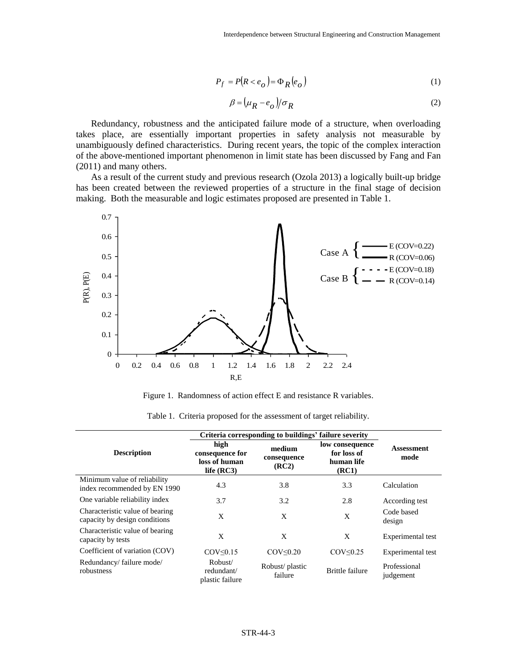$$
P_f = P(R < e_o) = \Phi_R(e_o)
$$
 (1)

$$
\beta = (\mu_R - e_o)/\sigma_R \tag{2}
$$

Redundancy, robustness and the anticipated failure mode of a structure, when overloading takes place, are essentially important properties in safety analysis not measurable by unambiguously defined characteristics. During recent years, the topic of the complex interaction of the above-mentioned important phenomenon in limit state has been discussed by Fang and Fan (2011) and many others.

As a result of the current study and previous research (Ozola 2013) a logically built-up bridge has been created between the reviewed properties of a structure in the final stage of decision making. Both the measurable and logic estimates proposed are presented in Table 1.



Figure 1. Randomness of action effect E and resistance R variables.

|                                                                  | Criteria corresponding to buildings' failure severity    |                                |                                                       |                           |
|------------------------------------------------------------------|----------------------------------------------------------|--------------------------------|-------------------------------------------------------|---------------------------|
| <b>Description</b>                                               | high<br>consequence for<br>loss of human<br>life $(RC3)$ | medium<br>consequence<br>(RC2) | low consequence<br>for loss of<br>human life<br>(RC1) | <b>Assessment</b><br>mode |
| Minimum value of reliability<br>index recommended by EN 1990     | 4.3                                                      | 3.8                            | 3.3                                                   | Calculation               |
| One variable reliability index                                   | 3.7                                                      | 3.2                            | 2.8                                                   | According test            |
| Characteristic value of bearing<br>capacity by design conditions | X                                                        | X                              | X                                                     | Code based<br>design      |
| Characteristic value of bearing<br>capacity by tests             | X                                                        | X                              | X                                                     | Experimental test         |
| Coefficient of variation (COV)                                   | $COV \leq 0.15$                                          | COV<0.20                       | $COV \leq 0.25$                                       | Experimental test         |
| Redundancy/ failure mode/<br>robustness                          | Robust/<br>redundant/<br>plastic failure                 | Robust/ plastic<br>failure     | <b>Brittle failure</b>                                | Professional<br>judgement |

Table 1. Criteria proposed for the assessment of target reliability.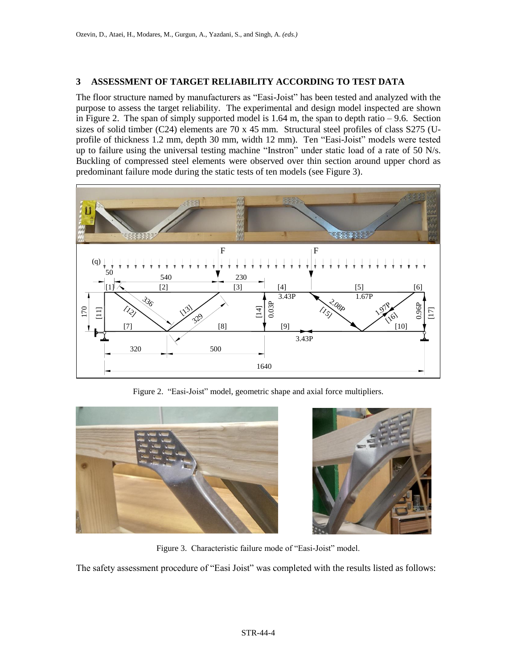# **3 ASSESSMENT OF TARGET RELIABILITY ACCORDING TO TEST DATA**

The floor structure named by manufacturers as "Easi-Joist" has been tested and analyzed with the purpose to assess the target reliability. The experimental and design model inspected are shown in Figure 2. The span of simply supported model is 1.64 m, the span to depth ratio – 9.6. Section sizes of solid timber (C24) elements are 70 x 45 mm. Structural steel profiles of class S275 (Uprofile of thickness 1.2 mm, depth 30 mm, width 12 mm). Ten "Easi-Joist" models were tested up to failure using the universal testing machine "Instron" under static load of a rate of 50 N/s. Buckling of compressed steel elements were observed over thin section around upper chord as predominant failure mode during the static tests of ten models (see Figure 3).



Figure 2. "Easi-Joist" model, geometric shape and axial force multipliers.





Figure 3. Characteristic failure mode of "Easi-Joist" model.

The safety assessment procedure of "Easi Joist" was completed with the results listed as follows: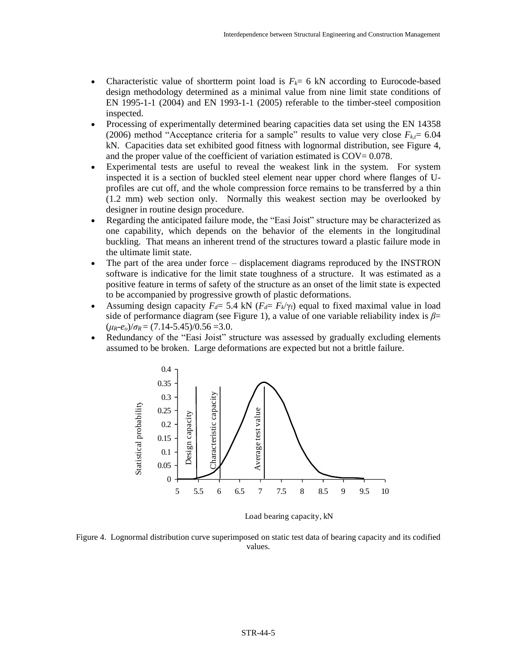- Characteristic value of shortterm point load is  $F_k = 6$  kN according to Eurocode-based design methodology determined as a minimal value from nine limit state conditions of EN 1995-1-1 (2004) and EN 1993-1-1 (2005) referable to the timber-steel composition inspected.
- Processing of experimentally determined bearing capacities data set using the EN 14358 (2006) method "Acceptance criteria for a sample" results to value very close  $F_{k,t}$ = 6.04 kN. Capacities data set exhibited good fitness with lognormal distribution, see Figure 4, and the proper value of the coefficient of variation estimated is  $COV = 0.078$ .
- Experimental tests are useful to reveal the weakest link in the system. For system inspected it is a section of buckled steel element near upper chord where flanges of Uprofiles are cut off, and the whole compression force remains to be transferred by a thin (1.2 mm) web section only. Normally this weakest section may be overlooked by designer in routine design procedure.
- Regarding the anticipated failure mode, the "Easi Joist" structure may be characterized as one capability, which depends on the behavior of the elements in the longitudinal buckling. That means an inherent trend of the structures toward a plastic failure mode in the ultimate limit state.
- The part of the area under force displacement diagrams reproduced by the INSTRON software is indicative for the limit state toughness of a structure. It was estimated as a positive feature in terms of safety of the structure as an onset of the limit state is expected to be accompanied by progressive growth of plastic deformations.
- Assuming design capacity  $F_d = 5.4$  kN ( $F_d = F_k/\gamma_f$ ) equal to fixed maximal value in load side of performance diagram (see Figure 1), a value of one variable reliability index is *β*=  $(\mu_R - e_o)/\sigma_R = (7.14 - 5.45)/0.56 = 3.0.$
- Redundancy of the "Easi Joist" structure was assessed by gradually excluding elements assumed to be broken. Large deformations are expected but not a brittle failure.



Load bearing capacity, kN

Figure 4. Lognormal distribution curve superimposed on static test data of bearing capacity and its codified values.